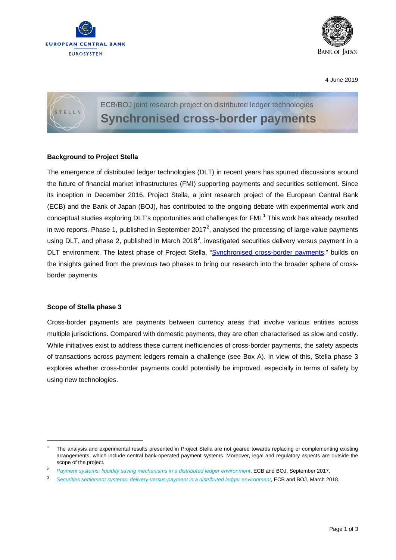



4 June 2019



# **Background to Project Stella**

The emergence of distributed ledger technologies (DLT) in recent years has spurred discussions around the future of financial market infrastructures (FMI) supporting payments and securities settlement. Since its inception in December 2016, Project Stella, a joint research project of the European Central Bank (ECB) and the Bank of Japan (BOJ), has contributed to the ongoing debate with experimental work and conceptual studies exploring DLT's opportunities and challenges for FMI.<sup>[1](#page-0-0)</sup> This work has already resulted in two reports. Phase 1, published in September [2](#page-0-1)017<sup>2</sup>, analysed the processing of large-value payments using DLT, and phase 2, published in March 2018<sup>[3](#page-0-2)</sup>, investigated securities delivery versus payment in a DLT environment. The latest phase of Project Stella, ["Synchronised cross-border payments,](https://www.ecb.europa.eu/paym/intro/publications/pdf/ecb.miptopical190604.en.pdf)" builds on the insights gained from the previous two phases to bring our research into the broader sphere of crossborder payments.

## **Scope of Stella phase 3**

Cross-border payments are payments between currency areas that involve various entities across multiple jurisdictions. Compared with domestic payments, they are often characterised as slow and costly. While initiatives exist to address these current inefficiencies of cross-border payments, the safety aspects of transactions across payment ledgers remain a challenge (see Box A). In view of this, Stella phase 3 explores whether cross-border payments could potentially be improved, especially in terms of safety by using new technologies.

<span id="page-0-0"></span> <sup>1</sup> The analysis and experimental results presented in Project Stella are not geared towards replacing or complementing existing arrangements, which include central bank-operated payment systems. Moreover, legal and regulatory aspects are outside the scope of the project.

<span id="page-0-1"></span><sup>&</sup>lt;sup>2</sup> *[Payment systems: liquidity saving mechanisms in a distributed ledger environment](https://www.ecb.europa.eu/pub/pdf/other/ecb.stella_project_report_september_2017.pdf)*, ECB and BOJ, September 2017.

<span id="page-0-2"></span><sup>3</sup> *[Securities settlement systems: delivery-versus-payment](https://www.ecb.europa.eu/pub/pdf/other/stella_project_report_march_2018.pdf) in a distributed ledger environment*, ECB and BOJ, March 2018.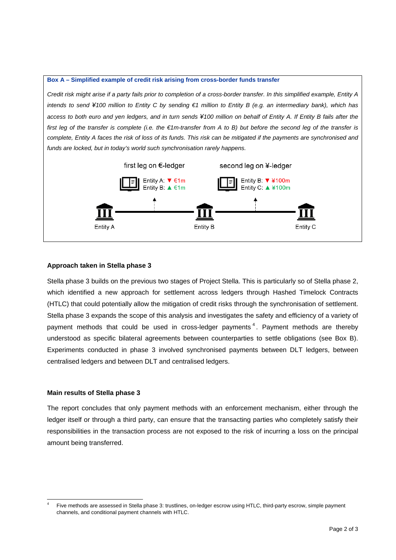#### **Box A – Simplified example of credit risk arising from cross-border funds transfer**

*Credit risk might arise if a party fails prior to completion of a cross-border transfer. In this simplified example, Entity A intends to send ¥100 million to Entity C by sending €1 million to Entity B (e.g. an intermediary bank), which has access to both euro and yen ledgers, and in turn sends ¥100 million on behalf of Entity A. If Entity B fails after the first leg of the transfer is complete (i.e. the €1m-transfer from A to B) but before the second leg of the transfer is complete, Entity A faces the risk of loss of its funds. This risk can be mitigated if the payments are synchronised and funds are locked, but in today's world such synchronisation rarely happens.*



# **Approach taken in Stella phase 3**

Stella phase 3 builds on the previous two stages of Project Stella. This is particularly so of Stella phase 2, which identified a new approach for settlement across ledgers through Hashed Timelock Contracts (HTLC) that could potentially allow the mitigation of credit risks through the synchronisation of settlement. Stella phase 3 expands the scope of this analysis and investigates the safety and efficiency of a variety of payment methods that could be used in cross-ledger payments  $4$ . Payment methods are thereby understood as specific bilateral agreements between counterparties to settle obligations (see Box B). Experiments conducted in phase 3 involved synchronised payments between DLT ledgers, between centralised ledgers and between DLT and centralised ledgers.

## **Main results of Stella phase 3**

The report concludes that only payment methods with an enforcement mechanism, either through the ledger itself or through a third party, can ensure that the transacting parties who completely satisfy their responsibilities in the transaction process are not exposed to the risk of incurring a loss on the principal amount being transferred.

<span id="page-1-0"></span>Five methods are assessed in Stella phase 3: trustlines, on-ledger escrow using HTLC, third-party escrow, simple payment channels, and conditional payment channels with HTLC.